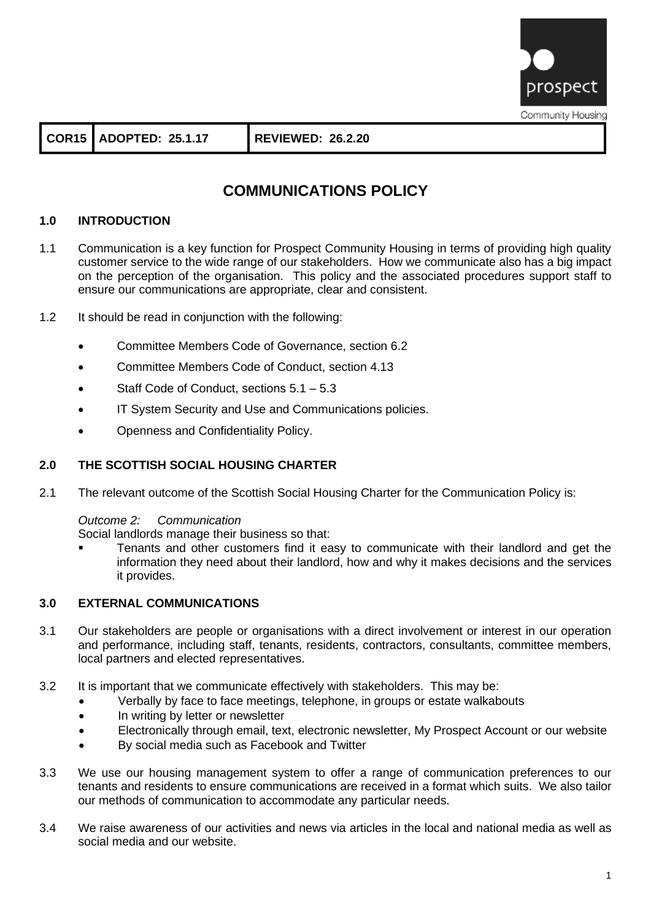

**COR15 ADOPTED: 25.1.17 REVIEWED: 26.2.20**

# **COMMUNICATIONS POLICY**

# **1.0 INTRODUCTION**

- 1.1 Communication is a key function for Prospect Community Housing in terms of providing high quality customer service to the wide range of our stakeholders. How we communicate also has a big impact on the perception of the organisation. This policy and the associated procedures support staff to ensure our communications are appropriate, clear and consistent.
- 1.2 It should be read in conjunction with the following:
	- Committee Members Code of Governance, section 6.2
	- Committee Members Code of Conduct, section 4.13
	- Staff Code of Conduct, sections  $5.1 5.3$
	- IT System Security and Use and Communications policies.
	- Openness and Confidentiality Policy.

## **2.0 THE SCOTTISH SOCIAL HOUSING CHARTER**

2.1 The relevant outcome of the Scottish Social Housing Charter for the Communication Policy is:

## *Outcome 2: Communication*

Social landlords manage their business so that:

Tenants and other customers find it easy to communicate with their landlord and get the information they need about their landlord, how and why it makes decisions and the services it provides.

#### **3.0 EXTERNAL COMMUNICATIONS**

- 3.1 Our stakeholders are people or organisations with a direct involvement or interest in our operation and performance, including staff, tenants, residents, contractors, consultants, committee members, local partners and elected representatives.
- 3.2 It is important that we communicate effectively with stakeholders. This may be:
	- Verbally by face to face meetings, telephone, in groups or estate walkabouts
	- In writing by letter or newsletter
	- Electronically through email, text, electronic newsletter, My Prospect Account or our website
	- By social media such as Facebook and Twitter
- 3.3 We use our housing management system to offer a range of communication preferences to our tenants and residents to ensure communications are received in a format which suits. We also tailor our methods of communication to accommodate any particular needs.
- 3.4 We raise awareness of our activities and news via articles in the local and national media as well as social media and our website.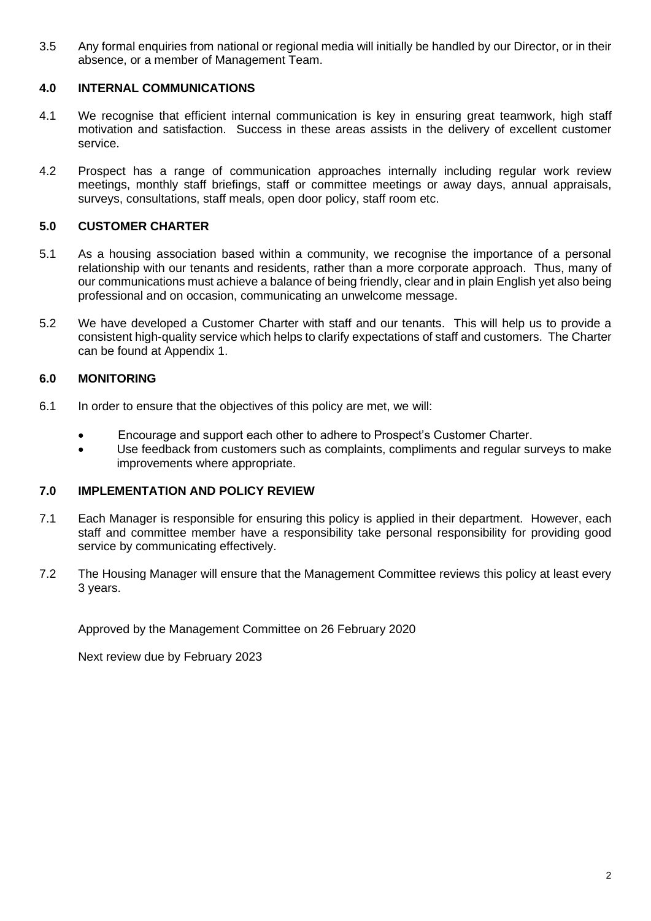3.5 Any formal enquiries from national or regional media will initially be handled by our Director, or in their absence, or a member of Management Team.

## **4.0 INTERNAL COMMUNICATIONS**

- 4.1 We recognise that efficient internal communication is key in ensuring great teamwork, high staff motivation and satisfaction. Success in these areas assists in the delivery of excellent customer service.
- 4.2 Prospect has a range of communication approaches internally including regular work review meetings, monthly staff briefings, staff or committee meetings or away days, annual appraisals, surveys, consultations, staff meals, open door policy, staff room etc.

## **5.0 CUSTOMER CHARTER**

- 5.1 As a housing association based within a community, we recognise the importance of a personal relationship with our tenants and residents, rather than a more corporate approach. Thus, many of our communications must achieve a balance of being friendly, clear and in plain English yet also being professional and on occasion, communicating an unwelcome message.
- 5.2 We have developed a Customer Charter with staff and our tenants. This will help us to provide a consistent high-quality service which helps to clarify expectations of staff and customers. The Charter can be found at Appendix 1.

## **6.0 MONITORING**

- 6.1 In order to ensure that the objectives of this policy are met, we will:
	- Encourage and support each other to adhere to Prospect's Customer Charter.
	- Use feedback from customers such as complaints, compliments and regular surveys to make improvements where appropriate.

#### **7.0 IMPLEMENTATION AND POLICY REVIEW**

- 7.1 Each Manager is responsible for ensuring this policy is applied in their department. However, each staff and committee member have a responsibility take personal responsibility for providing good service by communicating effectively.
- 7.2 The Housing Manager will ensure that the Management Committee reviews this policy at least every 3 years.

Approved by the Management Committee on 26 February 2020

Next review due by February 2023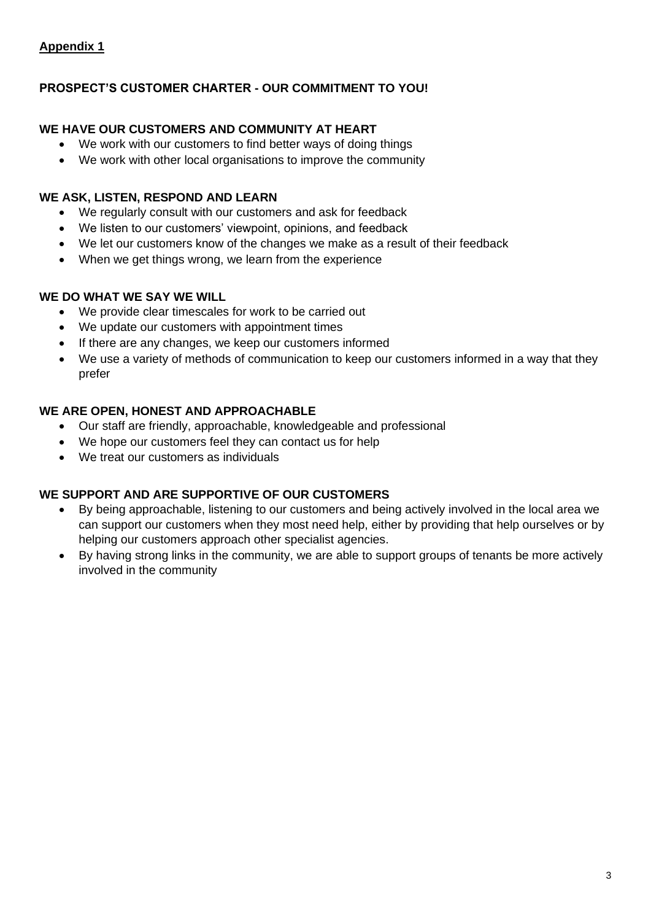# **Appendix 1**

# **PROSPECT'S CUSTOMER CHARTER - OUR COMMITMENT TO YOU!**

# **WE HAVE OUR CUSTOMERS AND COMMUNITY AT HEART**

- We work with our customers to find better ways of doing things
- We work with other local organisations to improve the community

## **WE ASK, LISTEN, RESPOND AND LEARN**

- We regularly consult with our customers and ask for feedback
- We listen to our customers' viewpoint, opinions, and feedback
- We let our customers know of the changes we make as a result of their feedback
- When we get things wrong, we learn from the experience

## **WE DO WHAT WE SAY WE WILL**

- We provide clear timescales for work to be carried out
- We update our customers with appointment times
- If there are any changes, we keep our customers informed
- We use a variety of methods of communication to keep our customers informed in a way that they prefer

## **WE ARE OPEN, HONEST AND APPROACHABLE**

- Our staff are friendly, approachable, knowledgeable and professional
- We hope our customers feel they can contact us for help
- We treat our customers as individuals

# **WE SUPPORT AND ARE SUPPORTIVE OF OUR CUSTOMERS**

- By being approachable, listening to our customers and being actively involved in the local area we can support our customers when they most need help, either by providing that help ourselves or by helping our customers approach other specialist agencies.
- By having strong links in the community, we are able to support groups of tenants be more actively involved in the community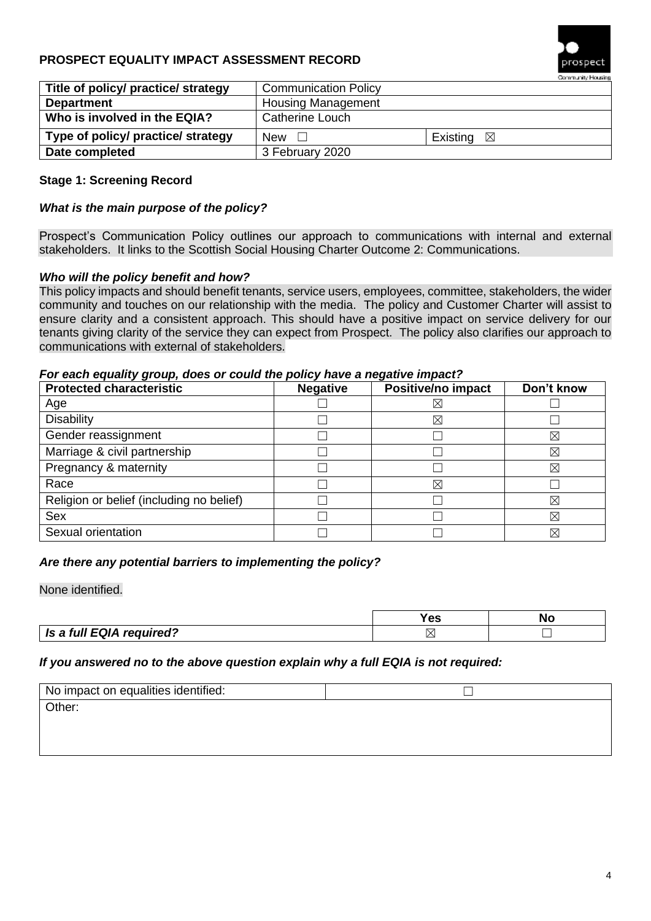# **PROSPECT EQUALITY IMPACT ASSESSMENT RECORD**



|                                     |                             | <b>A second the second with a second contract of the contract of the contract of the contract of the contract of the contract of the contract of the contract of the contract of the contract of the contract of the contract of</b> |
|-------------------------------------|-----------------------------|--------------------------------------------------------------------------------------------------------------------------------------------------------------------------------------------------------------------------------------|
| Title of policy/ practice/ strategy | <b>Communication Policy</b> |                                                                                                                                                                                                                                      |
| <b>Department</b>                   | <b>Housing Management</b>   |                                                                                                                                                                                                                                      |
| Who is involved in the EQIA?        | <b>Catherine Louch</b>      |                                                                                                                                                                                                                                      |
| Type of policy/ practice/ strategy  | New $\square$               | Existing $\boxtimes$                                                                                                                                                                                                                 |
| Date completed                      | 3 February 2020             |                                                                                                                                                                                                                                      |

# **Stage 1: Screening Record**

#### *What is the main purpose of the policy?*

Prospect's Communication Policy outlines our approach to communications with internal and external stakeholders. It links to the Scottish Social Housing Charter Outcome 2: Communications.

#### *Who will the policy benefit and how?*

This policy impacts and should benefit tenants, service users, employees, committee, stakeholders, the wider community and touches on our relationship with the media. The policy and Customer Charter will assist to ensure clarity and a consistent approach. This should have a positive impact on service delivery for our tenants giving clarity of the service they can expect from Prospect. The policy also clarifies our approach to communications with external of stakeholders.

#### *For each equality group, does or could the policy have a negative impact?*

| <b>Protected characteristic</b>          | <b>Negative</b> | Positive/no impact | Don't know |
|------------------------------------------|-----------------|--------------------|------------|
| Age                                      |                 | $\times$           |            |
| <b>Disability</b>                        |                 | $\boxtimes$        |            |
| Gender reassignment                      |                 |                    | X          |
| Marriage & civil partnership             |                 |                    | X          |
| Pregnancy & maternity                    |                 |                    | ⊠          |
| Race                                     |                 | $\boxtimes$        |            |
| Religion or belief (including no belief) |                 |                    | X          |
| <b>Sex</b>                               |                 |                    | X          |
| Sexual orientation                       |                 |                    | X          |

#### *Are there any potential barriers to implementing the policy?*

None identified.

|                          | 63 | <b>NL</b> |
|--------------------------|----|-----------|
| Is a full EQIA required? | X  |           |

#### *If you answered no to the above question explain why a full EQIA is not required:*

| No impact on equalities identified: |  |
|-------------------------------------|--|
| Other:                              |  |
|                                     |  |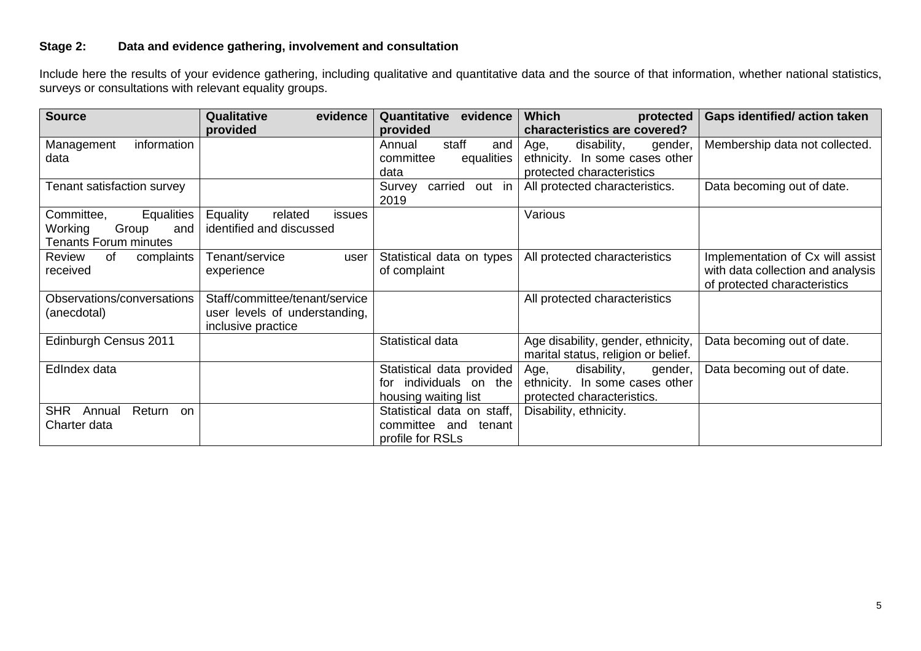# **Stage 2: Data and evidence gathering, involvement and consultation**

Include here the results of your evidence gathering, including qualitative and quantitative data and the source of that information, whether national statistics, surveys or consultations with relevant equality groups.

| <b>Source</b>                        | Qualitative<br>evidence              | Quantitative<br>evidence    | <b>Which</b><br>protected           | <b>Gaps identified/action taken</b> |
|--------------------------------------|--------------------------------------|-----------------------------|-------------------------------------|-------------------------------------|
|                                      | provided                             | provided                    | characteristics are covered?        |                                     |
| Management<br>information            |                                      | staff<br>Annual<br>and      | disability,<br>Age,<br>gender,      | Membership data not collected.      |
| data                                 |                                      | committee<br>equalities     | ethnicity. In some cases other      |                                     |
|                                      |                                      | data                        | protected characteristics           |                                     |
| Tenant satisfaction survey           |                                      | out in<br>carried<br>Survey | All protected characteristics.      | Data becoming out of date.          |
|                                      |                                      | 2019                        |                                     |                                     |
| Committee,<br><b>Equalities</b>      | Equality<br>related<br><i>issues</i> |                             | Various                             |                                     |
| Group<br>Working<br>and              | identified and discussed             |                             |                                     |                                     |
| <b>Tenants Forum minutes</b>         |                                      |                             |                                     |                                     |
| Review<br>0f<br>complaints           | Tenant/service<br>user               | Statistical data on types   | All protected characteristics       | Implementation of Cx will assist    |
| received                             | experience                           | of complaint                |                                     | with data collection and analysis   |
|                                      |                                      |                             |                                     | of protected characteristics        |
| Observations/conversations           | Staff/committee/tenant/service       |                             | All protected characteristics       |                                     |
| (anecdotal)                          | user levels of understanding,        |                             |                                     |                                     |
|                                      | inclusive practice                   |                             |                                     |                                     |
| Edinburgh Census 2011                |                                      | Statistical data            | Age disability, gender, ethnicity,  | Data becoming out of date.          |
|                                      |                                      |                             | marital status, religion or belief. |                                     |
| EdIndex data                         |                                      | Statistical data provided   | disability,<br>Age,<br>gender,      | Data becoming out of date.          |
|                                      |                                      | individuals on the<br>tor   | ethnicity. In some cases other      |                                     |
|                                      |                                      | housing waiting list        | protected characteristics.          |                                     |
| <b>SHR</b><br>Return<br>Annual<br>on |                                      | Statistical data on staff,  | Disability, ethnicity.              |                                     |
| Charter data                         |                                      | committee and<br>tenant     |                                     |                                     |
|                                      |                                      | profile for RSLs            |                                     |                                     |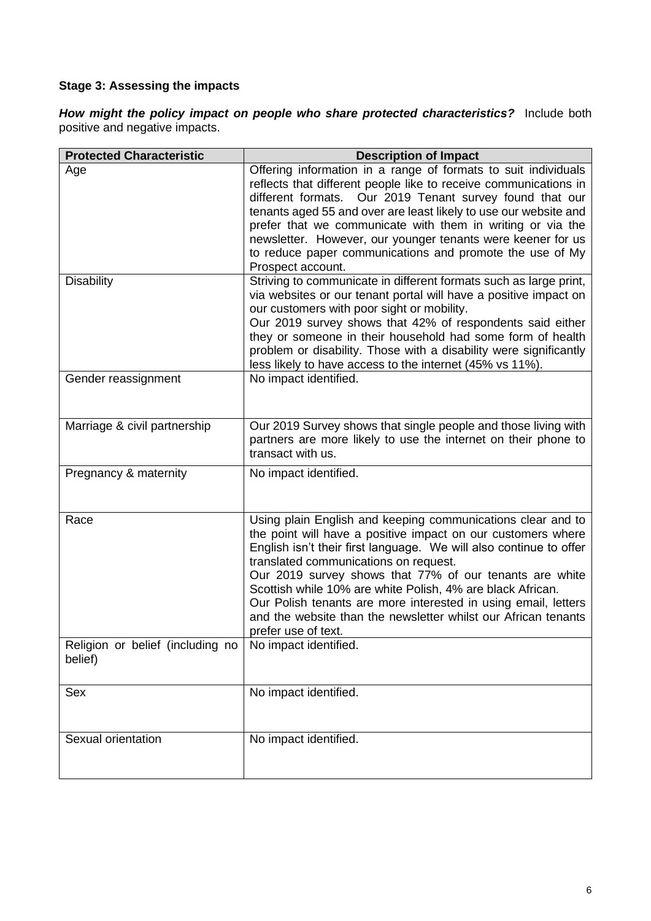# **Stage 3: Assessing the impacts**

*How might the policy impact on people who share protected characteristics?*Include both positive and negative impacts.

| <b>Protected Characteristic</b>             | <b>Description of Impact</b>                                                                                                                                                                                                                                                                                                                                                                                                                                                                                                   |
|---------------------------------------------|--------------------------------------------------------------------------------------------------------------------------------------------------------------------------------------------------------------------------------------------------------------------------------------------------------------------------------------------------------------------------------------------------------------------------------------------------------------------------------------------------------------------------------|
| Age                                         | Offering information in a range of formats to suit individuals<br>reflects that different people like to receive communications in<br>different formats. Our 2019 Tenant survey found that our<br>tenants aged 55 and over are least likely to use our website and<br>prefer that we communicate with them in writing or via the<br>newsletter. However, our younger tenants were keener for us<br>to reduce paper communications and promote the use of My<br>Prospect account.                                               |
| <b>Disability</b>                           | Striving to communicate in different formats such as large print,<br>via websites or our tenant portal will have a positive impact on<br>our customers with poor sight or mobility.<br>Our 2019 survey shows that 42% of respondents said either<br>they or someone in their household had some form of health<br>problem or disability. Those with a disability were significantly<br>less likely to have access to the internet (45% vs 11%).                                                                                |
| Gender reassignment                         | No impact identified.                                                                                                                                                                                                                                                                                                                                                                                                                                                                                                          |
| Marriage & civil partnership                | Our 2019 Survey shows that single people and those living with<br>partners are more likely to use the internet on their phone to<br>transact with us.                                                                                                                                                                                                                                                                                                                                                                          |
| Pregnancy & maternity                       | No impact identified.                                                                                                                                                                                                                                                                                                                                                                                                                                                                                                          |
| Race                                        | Using plain English and keeping communications clear and to<br>the point will have a positive impact on our customers where<br>English isn't their first language. We will also continue to offer<br>translated communications on request.<br>Our 2019 survey shows that 77% of our tenants are white<br>Scottish while 10% are white Polish, 4% are black African.<br>Our Polish tenants are more interested in using email, letters<br>and the website than the newsletter whilst our African tenants<br>prefer use of text. |
| Religion or belief (including no<br>belief) | No impact identified.                                                                                                                                                                                                                                                                                                                                                                                                                                                                                                          |
| Sex                                         | No impact identified.                                                                                                                                                                                                                                                                                                                                                                                                                                                                                                          |
| Sexual orientation                          | No impact identified.                                                                                                                                                                                                                                                                                                                                                                                                                                                                                                          |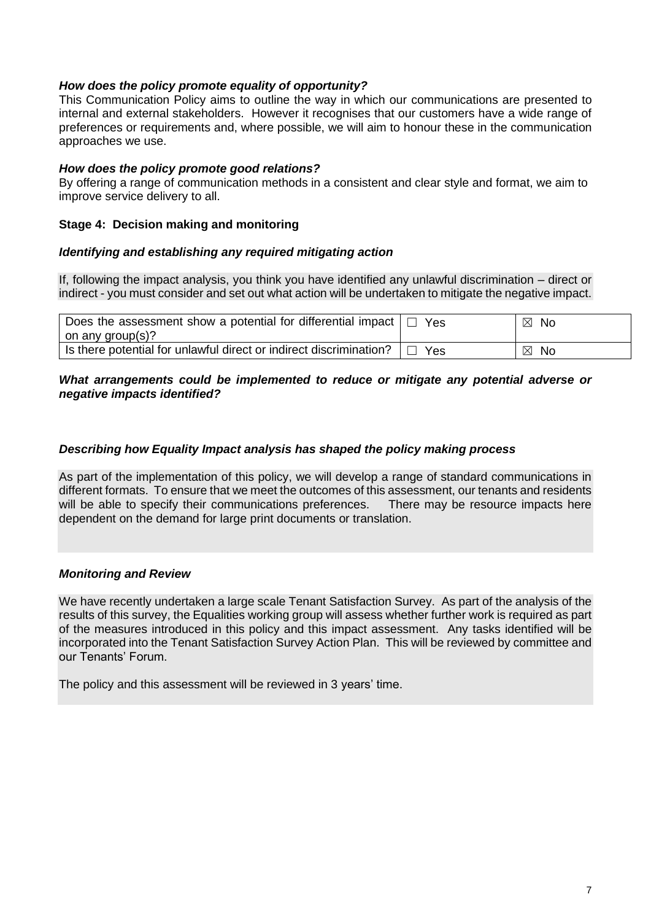#### *How does the policy promote equality of opportunity?*

This Communication Policy aims to outline the way in which our communications are presented to internal and external stakeholders. However it recognises that our customers have a wide range of preferences or requirements and, where possible, we will aim to honour these in the communication approaches we use.

#### *How does the policy promote good relations?*

By offering a range of communication methods in a consistent and clear style and format, we aim to improve service delivery to all.

#### **Stage 4: Decision making and monitoring**

#### *Identifying and establishing any required mitigating action*

If, following the impact analysis, you think you have identified any unlawful discrimination – direct or indirect - you must consider and set out what action will be undertaken to mitigate the negative impact.

| Does the assessment show a potential for differential impact $ \square $<br>on any group(s)? | Yes        | $\boxtimes$<br>No |
|----------------------------------------------------------------------------------------------|------------|-------------------|
| Is there potential for unlawful direct or indirect discrimination?                           | <b>Yes</b> | ⊠<br>No           |

#### *What arrangements could be implemented to reduce or mitigate any potential adverse or negative impacts identified?*

#### *Describing how Equality Impact analysis has shaped the policy making process*

As part of the implementation of this policy, we will develop a range of standard communications in different formats. To ensure that we meet the outcomes of this assessment, our tenants and residents will be able to specify their communications preferences. There may be resource impacts here dependent on the demand for large print documents or translation.

#### *Monitoring and Review*

We have recently undertaken a large scale Tenant Satisfaction Survey. As part of the analysis of the results of this survey, the Equalities working group will assess whether further work is required as part of the measures introduced in this policy and this impact assessment. Any tasks identified will be incorporated into the Tenant Satisfaction Survey Action Plan. This will be reviewed by committee and our Tenants' Forum.

The policy and this assessment will be reviewed in 3 years' time.